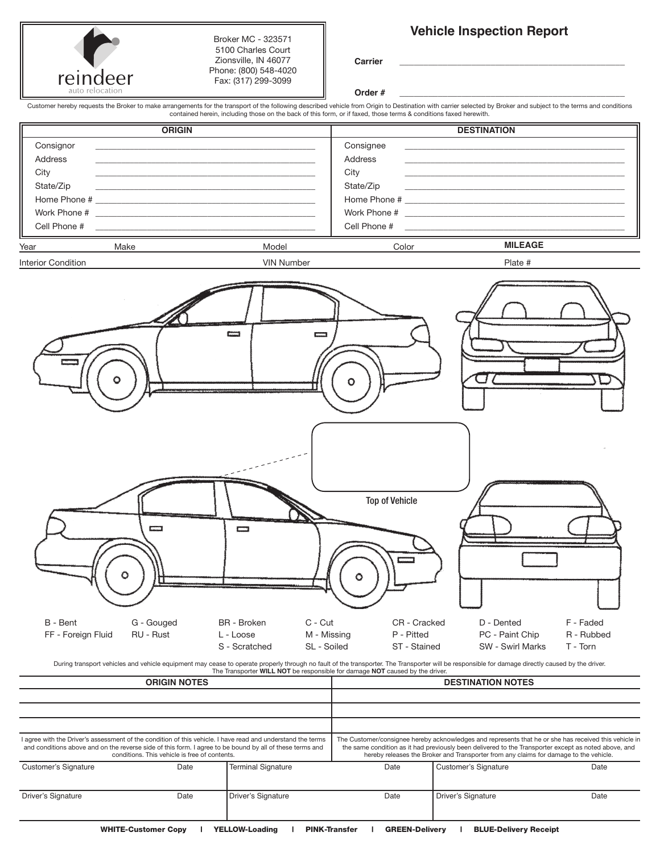|                                                                           | reindeer<br>auto relocation                           | Broker MC - 323571<br>5100 Charles Court<br>Zionsville, IN 46077<br>Phone: (800) 548-4020<br>Fax: (317) 299-3099                                                                                                                                                                                                                                                                                                                                                                                                            | Carrier<br>Order #                                                       | <b>Vehicle Inspection Report</b>                                                                                                                                                                                                                                                                                                                             |
|---------------------------------------------------------------------------|-------------------------------------------------------|-----------------------------------------------------------------------------------------------------------------------------------------------------------------------------------------------------------------------------------------------------------------------------------------------------------------------------------------------------------------------------------------------------------------------------------------------------------------------------------------------------------------------------|--------------------------------------------------------------------------|--------------------------------------------------------------------------------------------------------------------------------------------------------------------------------------------------------------------------------------------------------------------------------------------------------------------------------------------------------------|
|                                                                           |                                                       | contained herein, including those on the back of this form, or if faxed, those terms & conditions faxed herewith.                                                                                                                                                                                                                                                                                                                                                                                                           |                                                                          | Customer hereby requests the Broker to make arrangements for the transport of the following described vehicle from Origin to Destination with carrier selected by Broker and subject to the terms and conditions                                                                                                                                             |
|                                                                           | <b>ORIGIN</b>                                         |                                                                                                                                                                                                                                                                                                                                                                                                                                                                                                                             |                                                                          | <b>DESTINATION</b>                                                                                                                                                                                                                                                                                                                                           |
| Consignor<br>Address<br>City<br>State/Zip<br>Work Phone #<br>Cell Phone # |                                                       | <u> 1989 - Johann Stoff, amerikansk politiker (* 1908)</u><br>the control of the control of the control of the control of the control of the control of the control of the control of the control of the control of the control of the control of the control of the control of the control<br><u> 1989 - Andrea Stadt Britain, amerikansk politiker (</u><br>the control of the control of the control of the control of the control of the control of<br><u> 1989 - Johann Stein, mars an t-Amerikaansk kommunister (</u> | Consignee<br>Address<br>City<br>State/Zip<br>Cell Phone #                | <u> 1989 - Johann John Harry Harry Harry Harry Harry Harry Harry Harry Harry Harry Harry Harry Harry Harry Harry</u><br><u> 1989 - John Harry Harry Harry Harry Harry Harry Harry Harry Harry Harry Harry Harry Harry Harry Harry Harry Harry Harry Harry Harry Harry Harry Harry Harry Harry Harry Harry Harry Harry Harry Harry Harry Harry Harry Harr</u> |
| Year                                                                      | Make                                                  | Model                                                                                                                                                                                                                                                                                                                                                                                                                                                                                                                       | Color                                                                    | <b>MILEAGE</b>                                                                                                                                                                                                                                                                                                                                               |
| B - Bent<br>FF - Foreign Fluid                                            | ست<br>G - Gouged<br>RU - Rust<br><b>ORIGIN NOTES</b>  | ست<br>m<br>C - Cut<br><b>BR</b> - Broken<br>M - Missing<br>L - Loose<br>SL - Soiled<br>S - Scratched<br>The Transporter WILL NOT be responsible for damage NOT caused by the driver.                                                                                                                                                                                                                                                                                                                                        | O<br><b>Top of Vehicle</b><br>CR - Cracked<br>P - Pitted<br>ST - Stained | F - Faded<br>D - Dented<br>PC - Paint Chip<br>R - Rubbed<br>SW - Swirl Marks<br>T - Torn<br>During transport vehicles and vehicle equipment may cease to operate properly through no fault of the transporter. The Transporter will be responsible for damage directly caused by the driver.<br><b>DESTINATION NOTES</b>                                     |
|                                                                           |                                                       | I agree with the Driver's assessment of the condition of this vehicle. I have read and understand the terms<br>and conditions above and on the reverse side of this form. I agree to be bound by all of these terms and                                                                                                                                                                                                                                                                                                     |                                                                          | The Customer/consignee hereby acknowledges and represents that he or she has received this vehicle in<br>the same condition as it had previously been delivered to the Transporter except as noted above, and<br>hereby releases the Broker and Transporter from any claims for damage to the vehicle.                                                       |
| <b>Customer's Signature</b>                                               | conditions. This vehicle is free of contents.<br>Date | <b>Terminal Signature</b>                                                                                                                                                                                                                                                                                                                                                                                                                                                                                                   | Date                                                                     | <b>Customer's Signature</b><br>Date                                                                                                                                                                                                                                                                                                                          |

Driver's Signature **Date** Driver's Signature Date Driver's Signature Date Driver's Signature Date